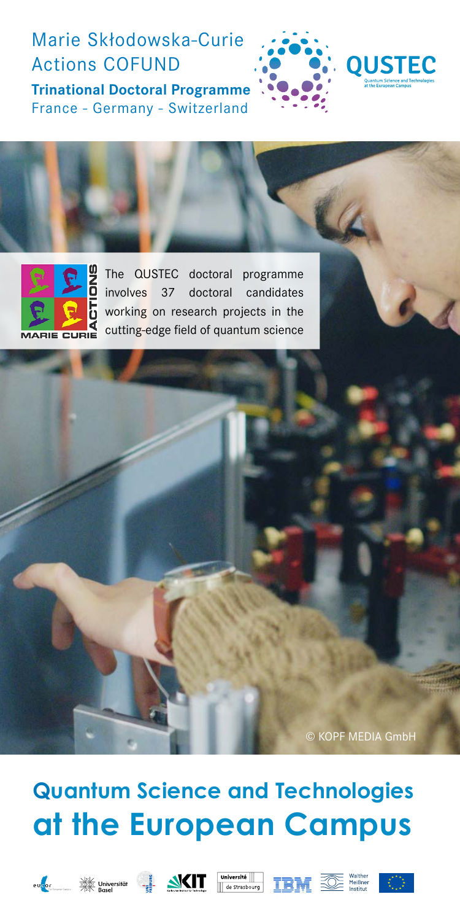## Marie Skłodowska-Curie Actions COFUND

**Trinational Doctoral Programme** France - Germany - Switzerland







The QUSTEC doctoral programme involves 37 doctoral candidates working on research projects in the cutting-edge field of quantum science

© KOPF MEDIA GmbH

# **Quantum Science and Technologies at the European Campus**